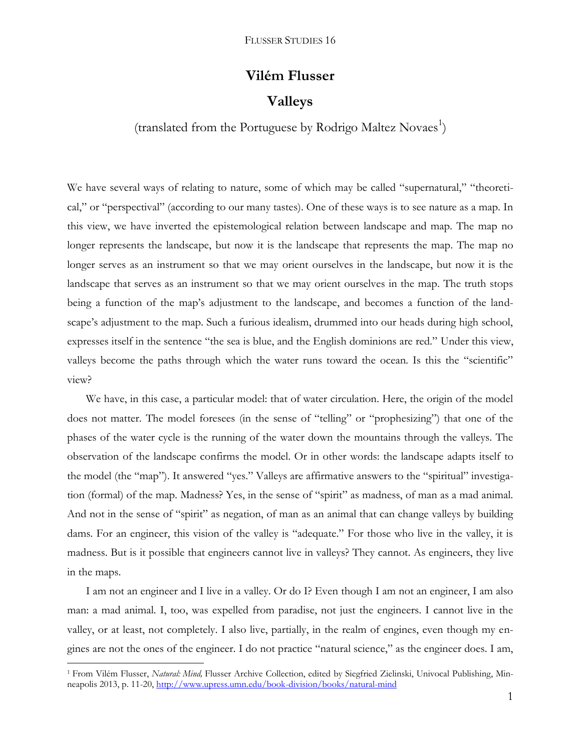# **Vilém Flusser Valleys**

# (translated from the Portuguese by Rodrigo Maltez Novaes<sup>1</sup>)

We have several ways of relating to nature, some of which may be called "supernatural," "theoretical," or "perspectival" (according to our many tastes). One of these ways is to see nature as a map. In this view, we have inverted the epistemological relation between landscape and map. The map no longer represents the landscape, but now it is the landscape that represents the map. The map no longer serves as an instrument so that we may orient ourselves in the landscape, but now it is the landscape that serves as an instrument so that we may orient ourselves in the map. The truth stops being a function of the map's adjustment to the landscape, and becomes a function of the landscape's adjustment to the map. Such a furious idealism, drummed into our heads during high school, expresses itself in the sentence "the sea is blue, and the English dominions are red." Under this view, valleys become the paths through which the water runs toward the ocean. Is this the "scientific" view?

We have, in this case, a particular model: that of water circulation. Here, the origin of the model does not matter. The model foresees (in the sense of "telling" or "prophesizing") that one of the phases of the water cycle is the running of the water down the mountains through the valleys. The observation of the landscape confirms the model. Or in other words: the landscape adapts itself to the model (the "map"). It answered "yes." Valleys are affirmative answers to the "spiritual" investigation (formal) of the map. Madness? Yes, in the sense of "spirit" as madness, of man as a mad animal. And not in the sense of "spirit" as negation, of man as an animal that can change valleys by building dams. For an engineer, this vision of the valley is "adequate." For those who live in the valley, it is madness. But is it possible that engineers cannot live in valleys? They cannot. As engineers, they live in the maps.

I am not an engineer and I live in a valley. Or do I? Even though I am not an engineer, I am also man: a mad animal. I, too, was expelled from paradise, not just the engineers. I cannot live in the valley, or at least, not completely. I also live, partially, in the realm of engines, even though my engines are not the ones of the engineer. I do not practice "natural science," as the engineer does. I am,

 $\overline{a}$ 

<sup>1</sup> From Vilém Flusser, *Natural: Mind,* Flusser Archive Collection, edited by Siegfried Zielinski, Univocal Publishing, Minneapolis 2013, p. 11-20,<http://www.upress.umn.edu/book-division/books/natural-mind>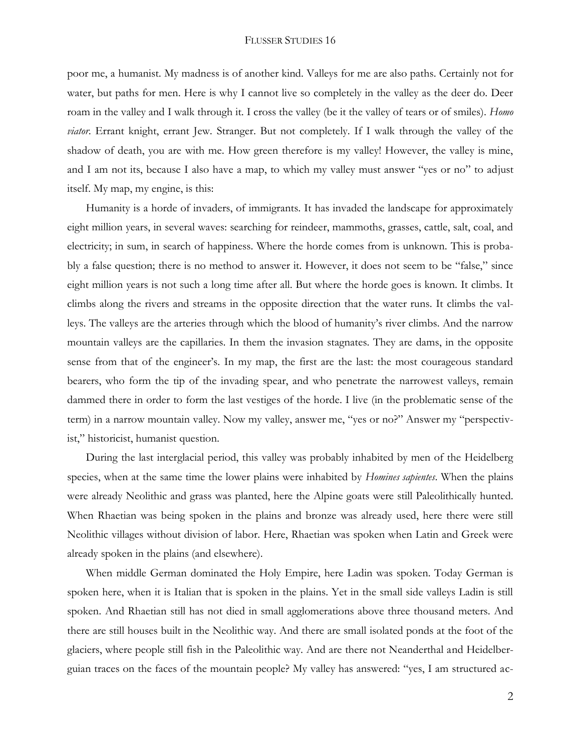poor me, a humanist. My madness is of another kind. Valleys for me are also paths. Certainly not for water, but paths for men. Here is why I cannot live so completely in the valley as the deer do. Deer roam in the valley and I walk through it. I cross the valley (be it the valley of tears or of smiles). *Homo viator*. Errant knight, errant Jew. Stranger. But not completely. If I walk through the valley of the shadow of death, you are with me. How green therefore is my valley! However, the valley is mine, and I am not its, because I also have a map, to which my valley must answer "yes or no" to adjust itself. My map, my engine, is this:

Humanity is a horde of invaders, of immigrants. It has invaded the landscape for approximately eight million years, in several waves: searching for reindeer, mammoths, grasses, cattle, salt, coal, and electricity; in sum, in search of happiness. Where the horde comes from is unknown. This is probably a false question; there is no method to answer it. However, it does not seem to be "false," since eight million years is not such a long time after all. But where the horde goes is known. It climbs. It climbs along the rivers and streams in the opposite direction that the water runs. It climbs the valleys. The valleys are the arteries through which the blood of humanity's river climbs. And the narrow mountain valleys are the capillaries. In them the invasion stagnates. They are dams, in the opposite sense from that of the engineer's. In my map, the first are the last: the most courageous standard bearers, who form the tip of the invading spear, and who penetrate the narrowest valleys, remain dammed there in order to form the last vestiges of the horde. I live (in the problematic sense of the term) in a narrow mountain valley. Now my valley, answer me, "yes or no?" Answer my "perspectivist," historicist, humanist question.

During the last interglacial period, this valley was probably inhabited by men of the Heidelberg species, when at the same time the lower plains were inhabited by *Homines sapientes*. When the plains were already Neolithic and grass was planted, here the Alpine goats were still Paleolithically hunted. When Rhaetian was being spoken in the plains and bronze was already used, here there were still Neolithic villages without division of labor. Here, Rhaetian was spoken when Latin and Greek were already spoken in the plains (and elsewhere).

When middle German dominated the Holy Empire, here Ladin was spoken. Today German is spoken here, when it is Italian that is spoken in the plains. Yet in the small side valleys Ladin is still spoken. And Rhaetian still has not died in small agglomerations above three thousand meters. And there are still houses built in the Neolithic way. And there are small isolated ponds at the foot of the glaciers, where people still fish in the Paleolithic way. And are there not Neanderthal and Heidelberguian traces on the faces of the mountain people? My valley has answered: "yes, I am structured ac-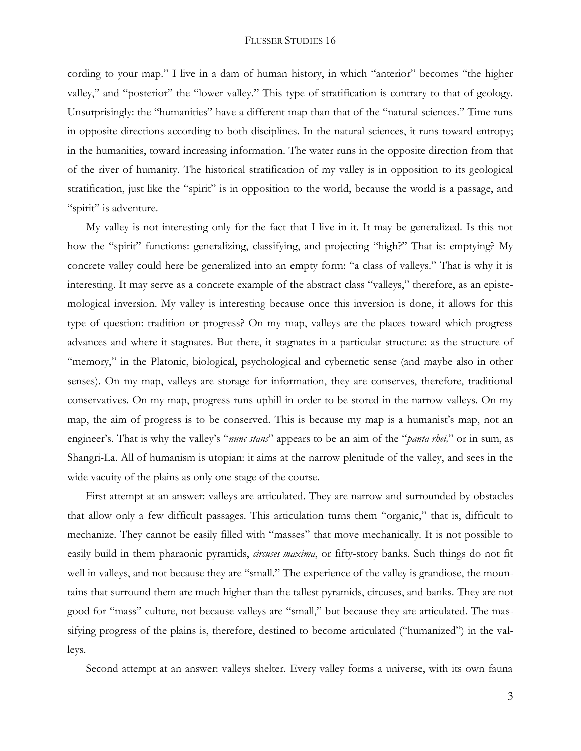cording to your map." I live in a dam of human history, in which "anterior" becomes "the higher valley," and "posterior" the "lower valley." This type of stratification is contrary to that of geology. Unsurprisingly: the "humanities" have a different map than that of the "natural sciences." Time runs in opposite directions according to both disciplines. In the natural sciences, it runs toward entropy; in the humanities, toward increasing information. The water runs in the opposite direction from that of the river of humanity. The historical stratification of my valley is in opposition to its geological stratification, just like the "spirit" is in opposition to the world, because the world is a passage, and "spirit" is adventure.

My valley is not interesting only for the fact that I live in it. It may be generalized. Is this not how the "spirit" functions: generalizing, classifying, and projecting "high?" That is: emptying? My concrete valley could here be generalized into an empty form: "a class of valleys." That is why it is interesting. It may serve as a concrete example of the abstract class "valleys," therefore, as an epistemological inversion. My valley is interesting because once this inversion is done, it allows for this type of question: tradition or progress? On my map, valleys are the places toward which progress advances and where it stagnates. But there, it stagnates in a particular structure: as the structure of "memory," in the Platonic, biological, psychological and cybernetic sense (and maybe also in other senses). On my map, valleys are storage for information, they are conserves, therefore, traditional conservatives. On my map, progress runs uphill in order to be stored in the narrow valleys. On my map, the aim of progress is to be conserved. This is because my map is a humanist's map, not an engineer's. That is why the valley's "*nunc stans*" appears to be an aim of the "*panta rhei,*" or in sum, as Shangri-La. All of humanism is utopian: it aims at the narrow plenitude of the valley, and sees in the wide vacuity of the plains as only one stage of the course.

First attempt at an answer: valleys are articulated. They are narrow and surrounded by obstacles that allow only a few difficult passages. This articulation turns them "organic," that is, difficult to mechanize. They cannot be easily filled with "masses" that move mechanically. It is not possible to easily build in them pharaonic pyramids, *circuses maxima*, or fifty-story banks. Such things do not fit well in valleys, and not because they are "small." The experience of the valley is grandiose, the mountains that surround them are much higher than the tallest pyramids, circuses, and banks. They are not good for "mass" culture, not because valleys are "small," but because they are articulated. The massifying progress of the plains is, therefore, destined to become articulated ("humanized") in the valleys.

Second attempt at an answer: valleys shelter. Every valley forms a universe, with its own fauna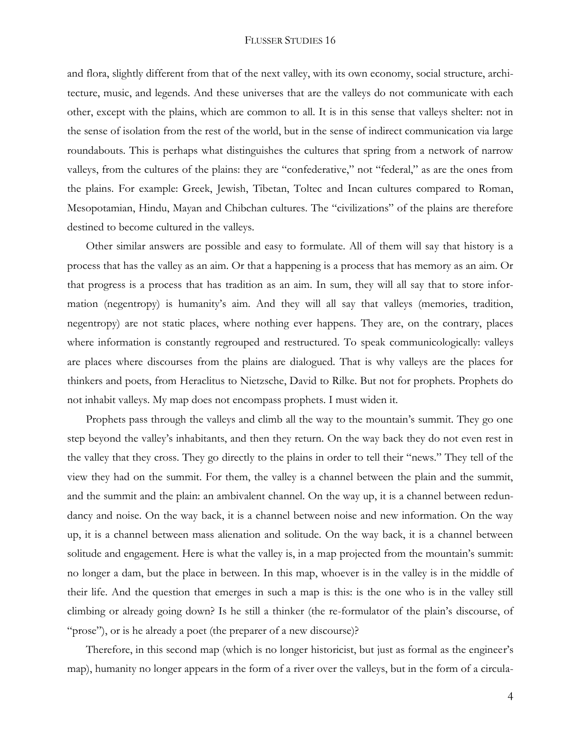and flora, slightly different from that of the next valley, with its own economy, social structure, architecture, music, and legends. And these universes that are the valleys do not communicate with each other, except with the plains, which are common to all. It is in this sense that valleys shelter: not in the sense of isolation from the rest of the world, but in the sense of indirect communication via large roundabouts. This is perhaps what distinguishes the cultures that spring from a network of narrow valleys, from the cultures of the plains: they are "confederative," not "federal," as are the ones from the plains. For example: Greek, Jewish, Tibetan, Toltec and Incan cultures compared to Roman, Mesopotamian, Hindu, Mayan and Chibchan cultures. The "civilizations" of the plains are therefore destined to become cultured in the valleys.

Other similar answers are possible and easy to formulate. All of them will say that history is a process that has the valley as an aim. Or that a happening is a process that has memory as an aim. Or that progress is a process that has tradition as an aim. In sum, they will all say that to store information (negentropy) is humanity's aim. And they will all say that valleys (memories, tradition, negentropy) are not static places, where nothing ever happens. They are, on the contrary, places where information is constantly regrouped and restructured. To speak communicologically: valleys are places where discourses from the plains are dialogued. That is why valleys are the places for thinkers and poets, from Heraclitus to Nietzsche, David to Rilke. But not for prophets. Prophets do not inhabit valleys. My map does not encompass prophets. I must widen it.

Prophets pass through the valleys and climb all the way to the mountain's summit. They go one step beyond the valley's inhabitants, and then they return. On the way back they do not even rest in the valley that they cross. They go directly to the plains in order to tell their "news." They tell of the view they had on the summit. For them, the valley is a channel between the plain and the summit, and the summit and the plain: an ambivalent channel. On the way up, it is a channel between redundancy and noise. On the way back, it is a channel between noise and new information. On the way up, it is a channel between mass alienation and solitude. On the way back, it is a channel between solitude and engagement. Here is what the valley is, in a map projected from the mountain's summit: no longer a dam, but the place in between. In this map, whoever is in the valley is in the middle of their life. And the question that emerges in such a map is this: is the one who is in the valley still climbing or already going down? Is he still a thinker (the re-formulator of the plain's discourse, of "prose"), or is he already a poet (the preparer of a new discourse)?

Therefore, in this second map (which is no longer historicist, but just as formal as the engineer's map), humanity no longer appears in the form of a river over the valleys, but in the form of a circula-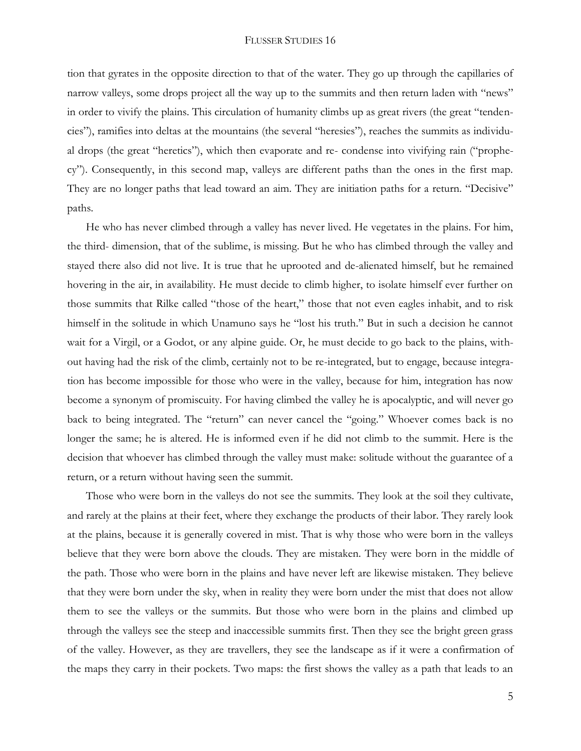tion that gyrates in the opposite direction to that of the water. They go up through the capillaries of narrow valleys, some drops project all the way up to the summits and then return laden with "news" in order to vivify the plains. This circulation of humanity climbs up as great rivers (the great "tendencies"), ramifies into deltas at the mountains (the several "heresies"), reaches the summits as individual drops (the great "heretics"), which then evaporate and re- condense into vivifying rain ("prophecy"). Consequently, in this second map, valleys are different paths than the ones in the first map. They are no longer paths that lead toward an aim. They are initiation paths for a return. "Decisive" paths.

He who has never climbed through a valley has never lived. He vegetates in the plains. For him, the third- dimension, that of the sublime, is missing. But he who has climbed through the valley and stayed there also did not live. It is true that he uprooted and de-alienated himself, but he remained hovering in the air, in availability. He must decide to climb higher, to isolate himself ever further on those summits that Rilke called "those of the heart," those that not even eagles inhabit, and to risk himself in the solitude in which Unamuno says he "lost his truth." But in such a decision he cannot wait for a Virgil, or a Godot, or any alpine guide. Or, he must decide to go back to the plains, without having had the risk of the climb, certainly not to be re-integrated, but to engage, because integration has become impossible for those who were in the valley, because for him, integration has now become a synonym of promiscuity. For having climbed the valley he is apocalyptic, and will never go back to being integrated. The "return" can never cancel the "going." Whoever comes back is no longer the same; he is altered. He is informed even if he did not climb to the summit. Here is the decision that whoever has climbed through the valley must make: solitude without the guarantee of a return, or a return without having seen the summit.

Those who were born in the valleys do not see the summits. They look at the soil they cultivate, and rarely at the plains at their feet, where they exchange the products of their labor. They rarely look at the plains, because it is generally covered in mist. That is why those who were born in the valleys believe that they were born above the clouds. They are mistaken. They were born in the middle of the path. Those who were born in the plains and have never left are likewise mistaken. They believe that they were born under the sky, when in reality they were born under the mist that does not allow them to see the valleys or the summits. But those who were born in the plains and climbed up through the valleys see the steep and inaccessible summits first. Then they see the bright green grass of the valley. However, as they are travellers, they see the landscape as if it were a confirmation of the maps they carry in their pockets. Two maps: the first shows the valley as a path that leads to an